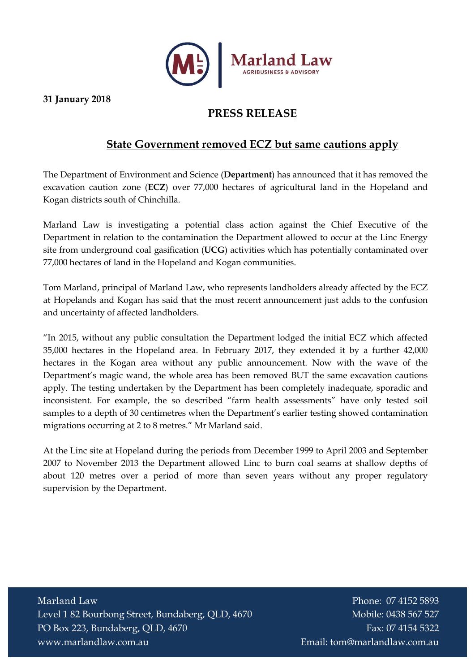

31 January 2018

## PRESS RELEASE

## State Government removed ECZ but same cautions apply

The Department of Environment and Science (Department) has announced that it has removed the excavation caution zone (ECZ) over 77,000 hectares of agricultural land in the Hopeland and Kogan districts south of Chinchilla.

Marland Law is investigating a potential class action against the Chief Executive of the Department in relation to the contamination the Department allowed to occur at the Linc Energy site from underground coal gasification (UCG) activities which has potentially contaminated over 77,000 hectares of land in the Hopeland and Kogan communities.

Tom Marland, principal of Marland Law, who represents landholders already affected by the ECZ at Hopelands and Kogan has said that the most recent announcement just adds to the confusion and uncertainty of affected landholders.

"In 2015, without any public consultation the Department lodged the initial ECZ which affected 35,000 hectares in the Hopeland area. In February 2017, they extended it by a further 42,000 hectares in the Kogan area without any public announcement. Now with the wave of the Department's magic wand, the whole area has been removed BUT the same excavation cautions apply. The testing undertaken by the Department has been completely inadequate, sporadic and inconsistent. For example, the so described "farm health assessments" have only tested soil samples to a depth of 30 centimetres when the Department's earlier testing showed contamination migrations occurring at 2 to 8 metres." Mr Marland said.

At the Linc site at Hopeland during the periods from December 1999 to April 2003 and September 2007 to November 2013 the Department allowed Linc to burn coal seams at shallow depths of about 120 metres over a period of more than seven years without any proper regulatory supervision by the Department.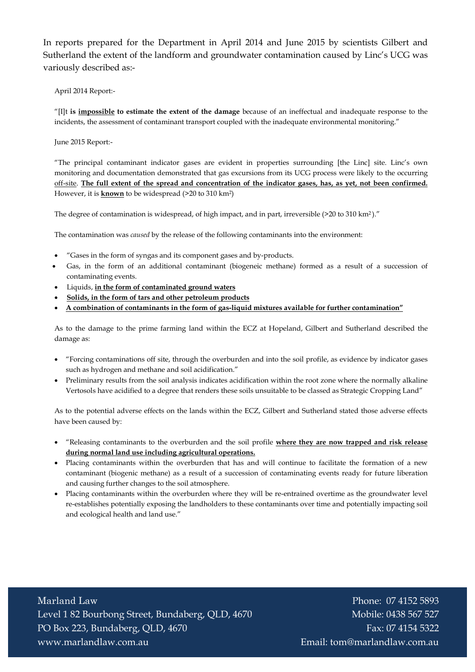In reports prepared for the Department in April 2014 and June 2015 by scientists Gilbert and Sutherland the extent of the landform and groundwater contamination caused by Linc's UCG was variously described as:-

April 2014 Report:-

"[I]t is impossible to estimate the extent of the damage because of an ineffectual and inadequate response to the incidents, the assessment of contaminant transport coupled with the inadequate environmental monitoring."

June 2015 Report:-

"The principal contaminant indicator gases are evident in properties surrounding [the Linc] site. Linc's own monitoring and documentation demonstrated that gas excursions from its UCG process were likely to the occurring off-site. The full extent of the spread and concentration of the indicator gases, has, as yet, not been confirmed. However, it is known to be widespread (>20 to 310 km2)

The degree of contamination is widespread, of high impact, and in part, irreversible (>20 to 310 km2 )."

The contamination was caused by the release of the following contaminants into the environment:

- "Gases in the form of syngas and its component gases and by-products.
- Gas, in the form of an additional contaminant (biogeneic methane) formed as a result of a succession of contaminating events.
- Liquids, *in the form of contaminated ground waters*
- Solids, in the form of tars and other petroleum products
- A combination of contaminants in the form of gas-liquid mixtures available for further contamination"

As to the damage to the prime farming land within the ECZ at Hopeland, Gilbert and Sutherland described the damage as:

- "Forcing contaminations off site, through the overburden and into the soil profile, as evidence by indicator gases such as hydrogen and methane and soil acidification."
- Preliminary results from the soil analysis indicates acidification within the root zone where the normally alkaline Vertosols have acidified to a degree that renders these soils unsuitable to be classed as Strategic Cropping Land"

As to the potential adverse effects on the lands within the ECZ, Gilbert and Sutherland stated those adverse effects have been caused by:

- "Releasing contaminants to the overburden and the soil profile where they are now trapped and risk release during normal land use including agricultural operations.
- Placing contaminants within the overburden that has and will continue to facilitate the formation of a new contaminant (biogenic methane) as a result of a succession of contaminating events ready for future liberation and causing further changes to the soil atmosphere.
- Placing contaminants within the overburden where they will be re-entrained overtime as the groundwater level re-establishes potentially exposing the landholders to these contaminants over time and potentially impacting soil and ecological health and land use."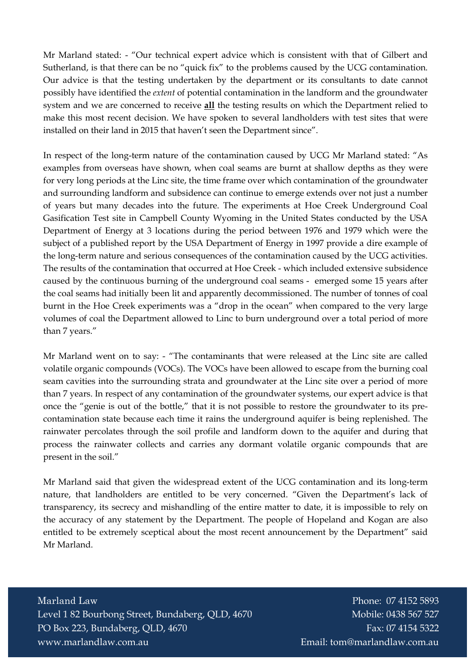Mr Marland stated: - "Our technical expert advice which is consistent with that of Gilbert and Sutherland, is that there can be no "quick fix" to the problems caused by the UCG contamination. Our advice is that the testing undertaken by the department or its consultants to date cannot possibly have identified the extent of potential contamination in the landform and the groundwater system and we are concerned to receive all the testing results on which the Department relied to make this most recent decision. We have spoken to several landholders with test sites that were installed on their land in 2015 that haven't seen the Department since".

In respect of the long-term nature of the contamination caused by UCG Mr Marland stated: "As examples from overseas have shown, when coal seams are burnt at shallow depths as they were for very long periods at the Linc site, the time frame over which contamination of the groundwater and surrounding landform and subsidence can continue to emerge extends over not just a number of years but many decades into the future. The experiments at Hoe Creek Underground Coal Gasification Test site in Campbell County Wyoming in the United States conducted by the USA Department of Energy at 3 locations during the period between 1976 and 1979 which were the subject of a published report by the USA Department of Energy in 1997 provide a dire example of the long-term nature and serious consequences of the contamination caused by the UCG activities. The results of the contamination that occurred at Hoe Creek - which included extensive subsidence caused by the continuous burning of the underground coal seams - emerged some 15 years after the coal seams had initially been lit and apparently decommissioned. The number of tonnes of coal burnt in the Hoe Creek experiments was a "drop in the ocean" when compared to the very large volumes of coal the Department allowed to Linc to burn underground over a total period of more than 7 years."

Mr Marland went on to say: - "The contaminants that were released at the Linc site are called volatile organic compounds (VOCs). The VOCs have been allowed to escape from the burning coal seam cavities into the surrounding strata and groundwater at the Linc site over a period of more than 7 years. In respect of any contamination of the groundwater systems, our expert advice is that once the "genie is out of the bottle," that it is not possible to restore the groundwater to its precontamination state because each time it rains the underground aquifer is being replenished. The rainwater percolates through the soil profile and landform down to the aquifer and during that process the rainwater collects and carries any dormant volatile organic compounds that are present in the soil."

Mr Marland said that given the widespread extent of the UCG contamination and its long-term nature, that landholders are entitled to be very concerned. "Given the Department's lack of transparency, its secrecy and mishandling of the entire matter to date, it is impossible to rely on the accuracy of any statement by the Department. The people of Hopeland and Kogan are also entitled to be extremely sceptical about the most recent announcement by the Department" said Mr Marland.